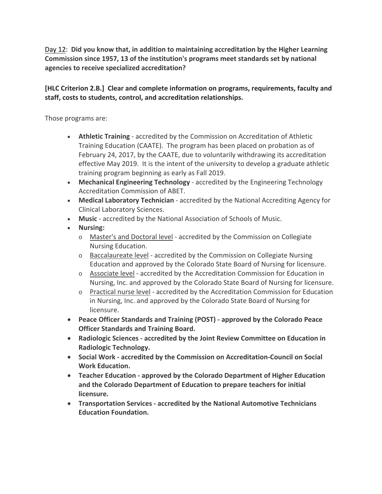Day 12: **Did you know that, in addition to maintaining accreditation by the Higher Learning Commission since 1957, 13 of the institution's programs meet standards set by national agencies to receive specialized accreditation?**

## **[HLC Criterion 2.B.] Clear and complete information on programs, requirements, faculty and staff, costs to students, control, and accreditation relationships.**

Those programs are:

- **Athletic Training** ‐ accredited by the Commission on Accreditation of Athletic Training Education (CAATE). The program has been placed on probation as of February 24, 2017, by the CAATE, due to voluntarily withdrawing its accreditation effective May 2019. It is the intent of the university to develop a graduate athletic training program beginning as early as Fall 2019.
- **Mechanical Engineering Technology** ‐ accredited by the Engineering Technology Accreditation Commission of ABET.
- **Medical Laboratory Technician** ‐ accredited by the National Accrediting Agency for Clinical Laboratory Sciences.
- **Music** ‐ accredited by the National Association of Schools of Music.
- **Nursing:**
	- o Master's and Doctoral level ‐ accredited by the Commission on Collegiate Nursing Education.
	- o Baccalaureate level ‐ accredited by the Commission on Collegiate Nursing Education and approved by the Colorado State Board of Nursing for licensure.
	- o Associate level ‐ accredited by the Accreditation Commission for Education in Nursing, Inc. and approved by the Colorado State Board of Nursing for licensure.
	- o Practical nurse level ‐ accredited by the Accreditation Commission for Education in Nursing, Inc. and approved by the Colorado State Board of Nursing for licensure.
- **Peace Officer Standards and Training (POST) ‐ approved by the Colorado Peace Officer Standards and Training Board.**
- **Radiologic Sciences ‐ accredited by the Joint Review Committee on Education in Radiologic Technology.**
- **Social Work ‐ accredited by the Commission on Accreditation‐Council on Social Work Education.**
- **Teacher Education ‐ approved by the Colorado Department of Higher Education and the Colorado Department of Education to prepare teachers for initial licensure.**
- **Transportation Services ‐ accredited by the National Automotive Technicians Education Foundation.**